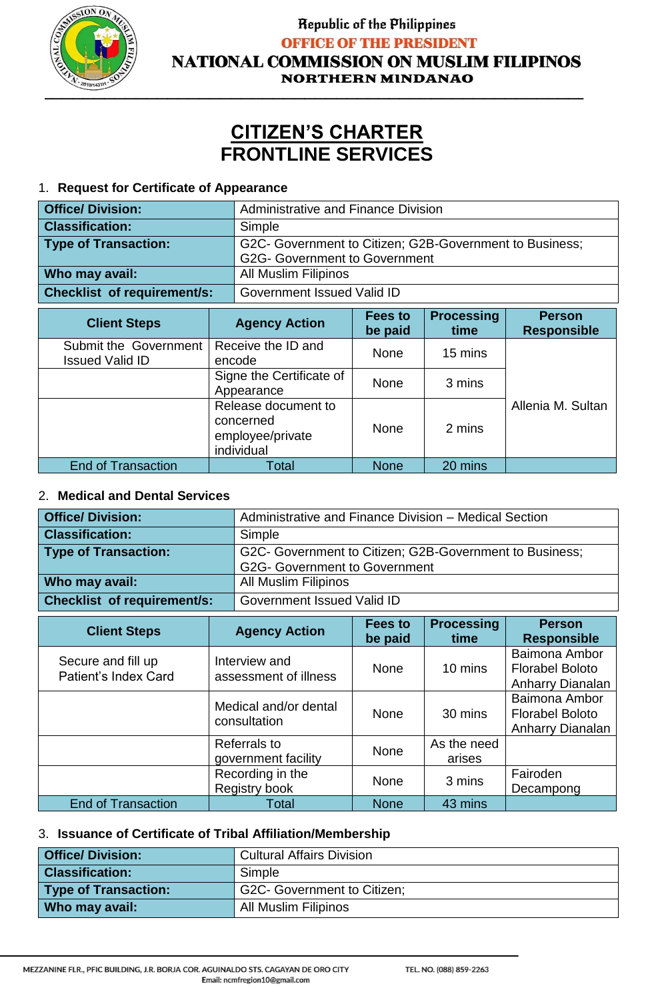

### Republic of the Philippines **OFFICE OF THE PRESIDENT NATIONAL COMMISSION ON MUSLIM FILIPINOS NORTHERN MINDANAO**

# **CITIZEN'S CHARTER FRONTLINE SERVICES**

#### 1. **Request for Certificate of Appearance**

| <b>Office/ Division:</b>           | Administrative and Finance Division                                                             |                                                                                               |  |  |  |
|------------------------------------|-------------------------------------------------------------------------------------------------|-----------------------------------------------------------------------------------------------|--|--|--|
| <b>Classification:</b>             | Simple                                                                                          |                                                                                               |  |  |  |
| <b>Type of Transaction:</b>        | G2C- Government to Citizen; G2B-Government to Business;<br><b>G2G- Government to Government</b> |                                                                                               |  |  |  |
| Who may avail:                     | <b>All Muslim Filipinos</b>                                                                     |                                                                                               |  |  |  |
| <b>Checklist of requirement/s:</b> | Government Issued Valid ID                                                                      |                                                                                               |  |  |  |
| <b>Client Steps</b>                | <b>Agency Action</b>                                                                            | <b>Processing</b><br><b>Fees to</b><br><b>Person</b><br><b>Responsible</b><br>time<br>be paid |  |  |  |

|                                                 |                                                                    | pe paig     | time.   | <b>Responsible</b> |
|-------------------------------------------------|--------------------------------------------------------------------|-------------|---------|--------------------|
| Submit the Government<br><b>Issued Valid ID</b> | Receive the ID and<br>encode                                       | None        | 15 mins |                    |
|                                                 | Signe the Certificate of<br>Appearance                             | <b>None</b> | 3 mins  |                    |
|                                                 | Release document to<br>concerned<br>employee/private<br>individual | None        | 2 mins  | Allenia M. Sultan  |
| <b>End of Transaction</b>                       | Total                                                              | <b>None</b> | 20 mins |                    |

#### 2. **Medical and Dental Services**

| <b>Office/Division:</b>            | Administrative and Finance Division – Medical Section                                           |
|------------------------------------|-------------------------------------------------------------------------------------------------|
| <b>Classification:</b>             | Simple                                                                                          |
| Type of Transaction:               | G2C- Government to Citizen; G2B-Government to Business;<br><b>G2G- Government to Government</b> |
| Who may avail:                     | <b>All Muslim Filipinos</b>                                                                     |
| <b>Checklist of requirement/s:</b> | Government Issued Valid ID                                                                      |

| <b>Client Steps</b>                        | <b>Agency Action</b>                   | <b>Fees to</b><br>be paid | <b>Processing</b><br>time | <b>Person</b><br><b>Responsible</b>                         |
|--------------------------------------------|----------------------------------------|---------------------------|---------------------------|-------------------------------------------------------------|
| Secure and fill up<br>Patient's Index Card | Interview and<br>assessment of illness | <b>None</b>               | 10 mins                   | Baimona Ambor<br><b>Florabel Boloto</b><br>Anharry Dianalan |
|                                            | Medical and/or dental<br>consultation  | None                      | 30 mins                   | Baimona Ambor<br><b>Florabel Boloto</b><br>Anharry Dianalan |
|                                            | Referrals to<br>government facility    | <b>None</b>               | As the need<br>arises     |                                                             |
|                                            | Recording in the<br>Registry book      | None                      | 3 mins                    | Fairoden<br>Decampong                                       |
| <b>End of Transaction</b>                  | Total                                  | <b>None</b>               | 43 mins                   |                                                             |

#### 3. **Issuance of Certificate of Tribal Affiliation/Membership**

| <b>Office/ Division:</b>    | <b>Cultural Affairs Division</b>   |
|-----------------------------|------------------------------------|
| <b>Classification:</b>      | Simple                             |
| <b>Type of Transaction:</b> | <b>G2C- Government to Citizen;</b> |
| Who may avail:              | <b>All Muslim Filipinos</b>        |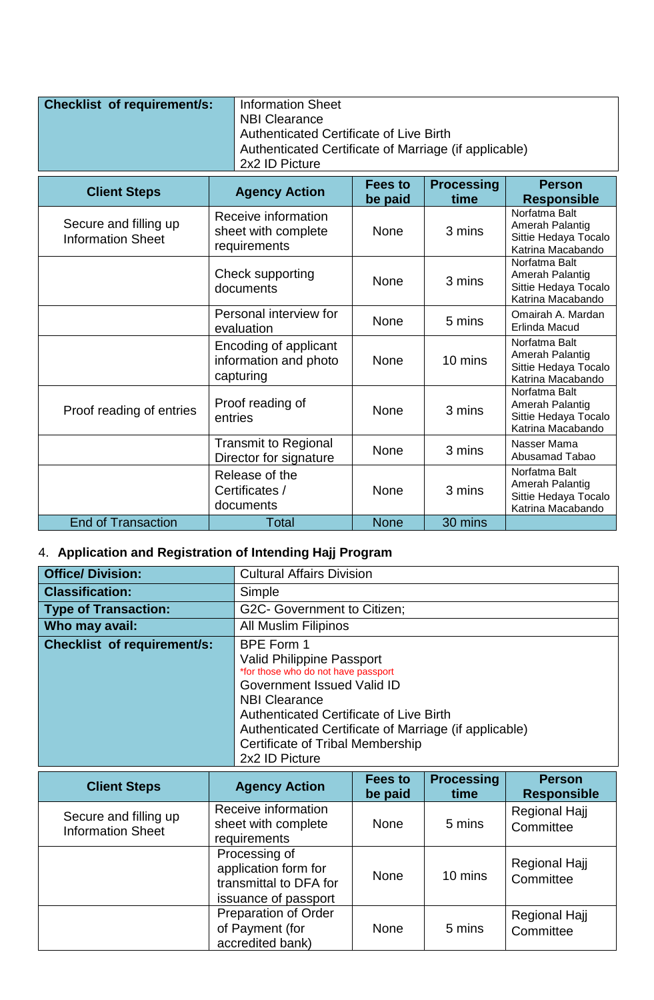| <b>Checklist of requirement/s:</b> | Information Sheet                                     |
|------------------------------------|-------------------------------------------------------|
|                                    | NBI Clearance                                         |
|                                    | Authenticated Certificate of Live Birth               |
|                                    | Authenticated Certificate of Marriage (if applicable) |
|                                    | 2x2 ID Picture                                        |

| <b>Client Steps</b>                               | <b>Agency Action</b>                                        | Fees to<br>be paid | <b>Processing</b><br>time | <b>Person</b><br><b>Responsible</b>                                           |
|---------------------------------------------------|-------------------------------------------------------------|--------------------|---------------------------|-------------------------------------------------------------------------------|
| Secure and filling up<br><b>Information Sheet</b> | Receive information<br>sheet with complete<br>requirements  | <b>None</b>        | 3 mins                    | Norfatma Balt<br>Amerah Palantig<br>Sittie Hedaya Tocalo<br>Katrina Macabando |
|                                                   | Check supporting<br>documents                               | <b>None</b>        | 3 mins                    | Norfatma Balt<br>Amerah Palantig<br>Sittie Hedaya Tocalo<br>Katrina Macabando |
|                                                   | Personal interview for<br>evaluation                        | None               | 5 mins                    | Omairah A. Mardan<br>Erlinda Macud                                            |
|                                                   | Encoding of applicant<br>information and photo<br>capturing | <b>None</b>        | 10 mins                   | Norfatma Balt<br>Amerah Palantig<br>Sittie Hedaya Tocalo<br>Katrina Macabando |
| Proof reading of entries                          | Proof reading of<br>entries                                 | <b>None</b>        | 3 mins                    | Norfatma Balt<br>Amerah Palantig<br>Sittie Hedaya Tocalo<br>Katrina Macabando |
|                                                   | <b>Transmit to Regional</b><br>Director for signature       | <b>None</b>        | 3 mins                    | Nasser Mama<br>Abusamad Tabao                                                 |
|                                                   | Release of the<br>Certificates /<br>documents               | <b>None</b>        | 3 mins                    | Norfatma Balt<br>Amerah Palantig<br>Sittie Hedaya Tocalo<br>Katrina Macabando |
| <b>End of Transaction</b>                         | Total                                                       | <b>None</b>        | 30 mins                   |                                                                               |

## 4. **Application and Registration of Intending Hajj Program**

| <b>Office/ Division:</b>    | <b>Cultural Affairs Division</b>                                                                                                                                                                                                                                                                                    |
|-----------------------------|---------------------------------------------------------------------------------------------------------------------------------------------------------------------------------------------------------------------------------------------------------------------------------------------------------------------|
| <b>Classification:</b>      | Simple                                                                                                                                                                                                                                                                                                              |
| <b>Type of Transaction:</b> | G2C- Government to Citizen;                                                                                                                                                                                                                                                                                         |
| Who may avail:              | <b>All Muslim Filipinos</b>                                                                                                                                                                                                                                                                                         |
| Checklist of requirement/s: | BPE Form 1<br><b>Valid Philippine Passport</b><br>*for those who do not have passport<br>Government Issued Valid ID<br><b>NBI Clearance</b><br><b>Authenticated Certificate of Live Birth</b><br>Authenticated Certificate of Marriage (if applicable)<br><b>Certificate of Tribal Membership</b><br>2x2 ID Picture |

| <b>Client Steps</b>                               | <b>Agency Action</b>                                                                    | Fees to<br>be paid | <b>Processing</b><br>time | <b>Person</b><br><b>Responsible</b> |
|---------------------------------------------------|-----------------------------------------------------------------------------------------|--------------------|---------------------------|-------------------------------------|
| Secure and filling up<br><b>Information Sheet</b> | Receive information<br>sheet with complete<br>requirements                              | <b>None</b>        | 5 mins                    | Regional Hajj<br>Committee          |
|                                                   | Processing of<br>application form for<br>transmittal to DFA for<br>issuance of passport | <b>None</b>        | 10 mins                   | Regional Hajj<br>Committee          |
|                                                   | <b>Preparation of Order</b><br>of Payment (for<br>accredited bank)                      | <b>None</b>        | 5 mins                    | Regional Hajj<br>Committee          |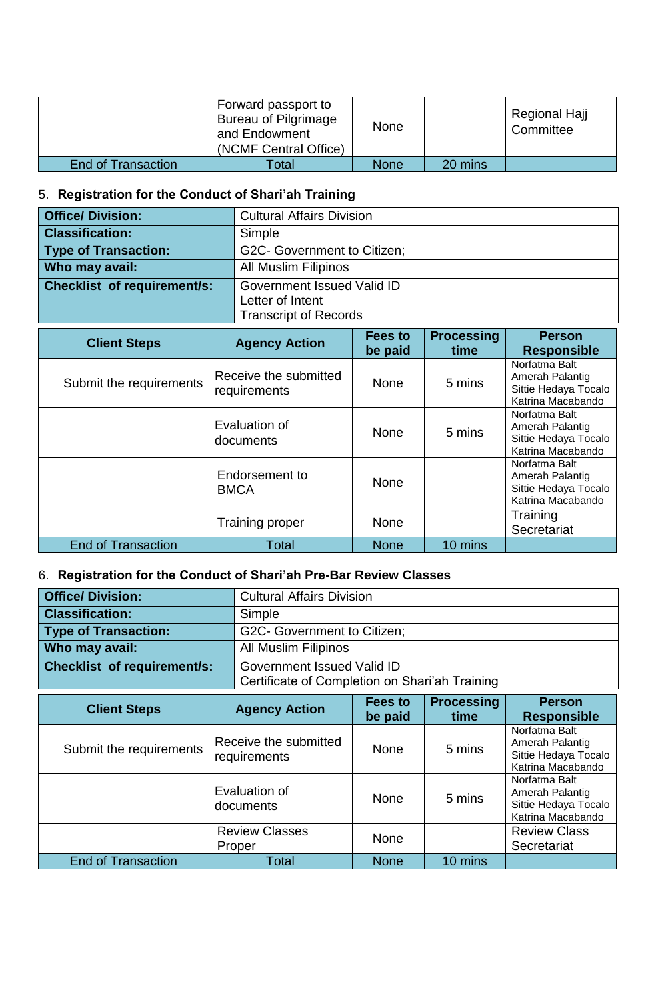|                           | Forward passport to<br>Bureau of Pilgrimage<br>and Endowment<br>(NCMF Central Office) | <b>None</b> |         | Regional Hajj<br>Committee |
|---------------------------|---------------------------------------------------------------------------------------|-------------|---------|----------------------------|
| <b>End of Transaction</b> | Total                                                                                 | <b>None</b> | 20 mins |                            |

### 5. **Registration for the Conduct of Shari'ah Training**

| <b>Office/Division:</b>            | <b>Cultural Affairs Division</b> |
|------------------------------------|----------------------------------|
| <b>Classification:</b>             | Simple                           |
| <b>Type of Transaction:</b>        | G2C- Government to Citizen;      |
| Who may avail:                     | <b>All Muslim Filipinos</b>      |
| <b>Checklist of requirement/s:</b> | Government Issued Valid ID       |
|                                    | Letter of Intent                 |
|                                    | <b>Transcript of Records</b>     |

| <b>Client Steps</b>       | <b>Agency Action</b>                  | Fees to<br>be paid | <b>Processing</b><br>time | <b>Person</b><br><b>Responsible</b>                                           |
|---------------------------|---------------------------------------|--------------------|---------------------------|-------------------------------------------------------------------------------|
| Submit the requirements   | Receive the submitted<br>requirements | <b>None</b>        | 5 mins                    | Norfatma Balt<br>Amerah Palantig<br>Sittie Hedaya Tocalo<br>Katrina Macabando |
|                           | Evaluation of<br>documents            | <b>None</b>        | 5 mins                    | Norfatma Balt<br>Amerah Palantig<br>Sittie Hedaya Tocalo<br>Katrina Macabando |
|                           | Endorsement to<br><b>BMCA</b>         | <b>None</b>        |                           | Norfatma Balt<br>Amerah Palantig<br>Sittie Hedaya Tocalo<br>Katrina Macabando |
|                           | <b>Training proper</b>                | <b>None</b>        |                           | Training<br>Secretariat                                                       |
| <b>End of Transaction</b> | Total                                 | <b>None</b>        | 10 mins                   |                                                                               |

### 6. **Registration for the Conduct of Shari'ah Pre-Bar Review Classes**

| <b>Office/Division:</b>            | <b>Cultural Affairs Division</b>               |
|------------------------------------|------------------------------------------------|
| <b>Classification:</b>             | Simple                                         |
| <b>Type of Transaction:</b>        | G2C- Government to Citizen;                    |
| Who may avail:                     | <b>All Muslim Filipinos</b>                    |
| <b>Checklist of requirement/s:</b> | Government Issued Valid ID                     |
|                                    | Certificate of Completion on Shari'ah Training |

| <b>Client Steps</b>       | <b>Agency Action</b>                  | Fees to<br>be paid | <b>Processing</b><br>time | <b>Person</b><br><b>Responsible</b>                                           |
|---------------------------|---------------------------------------|--------------------|---------------------------|-------------------------------------------------------------------------------|
| Submit the requirements   | Receive the submitted<br>requirements | <b>None</b>        | 5 mins                    | Norfatma Balt<br>Amerah Palantig<br>Sittie Hedaya Tocalo<br>Katrina Macabando |
|                           | Evaluation of<br>documents            | <b>None</b>        | 5 mins                    | Norfatma Balt<br>Amerah Palantig<br>Sittie Hedaya Tocalo<br>Katrina Macabando |
|                           | <b>Review Classes</b><br>Proper       | <b>None</b>        |                           | <b>Review Class</b><br>Secretariat                                            |
| <b>End of Transaction</b> | Total                                 | <b>None</b>        | 10 mins                   |                                                                               |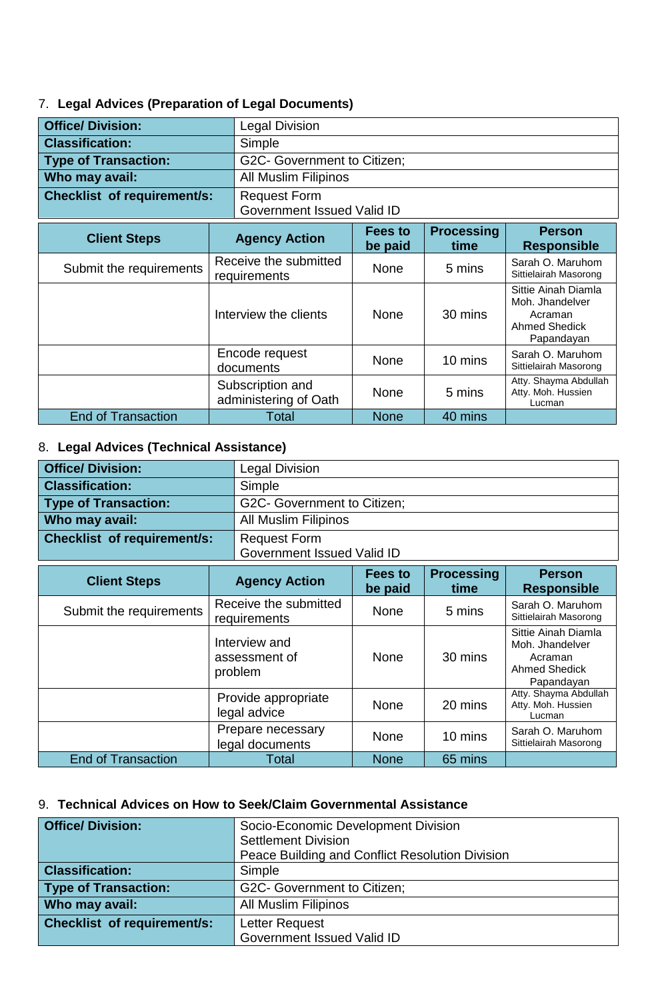### 7. **Legal Advices (Preparation of Legal Documents)**

| <b>Office/ Division:</b>    | <b>Legal Division</b>                     |                            |                           |                                                                                         |
|-----------------------------|-------------------------------------------|----------------------------|---------------------------|-----------------------------------------------------------------------------------------|
| <b>Classification:</b>      | Simple                                    |                            |                           |                                                                                         |
| <b>Type of Transaction:</b> | G2C- Government to Citizen;               |                            |                           |                                                                                         |
| Who may avail:              | <b>All Muslim Filipinos</b>               |                            |                           |                                                                                         |
| Checklist of requirement/s: | <b>Request Form</b>                       | Government Issued Valid ID |                           |                                                                                         |
| <b>Client Steps</b>         | <b>Agency Action</b>                      | <b>Fees to</b><br>be paid  | <b>Processing</b><br>time | <b>Person</b><br><b>Responsible</b>                                                     |
| Submit the requirements     | Receive the submitted<br>requirements     | <b>None</b>                | 5 mins                    | Sarah O. Maruhom<br>Sittielairah Masorong                                               |
|                             | Interview the clients                     | <b>None</b>                | 30 mins                   | Sittie Ainah Diamla<br>Moh. Jhandelver<br>Acraman<br><b>Ahmed Shedick</b><br>Papandayan |
|                             | Encode request<br>documents               | <b>None</b>                | 10 mins                   | Sarah O. Maruhom<br>Sittielairah Masorong                                               |
|                             | Subscription and<br>administering of Oath | <b>None</b>                | 5 mins                    | Atty. Shayma Abdullah<br>Atty. Moh. Hussien<br>Lucman                                   |
| <b>End of Transaction</b>   | Total                                     | <b>None</b>                | 40 mins                   |                                                                                         |

### 8. **Legal Advices (Technical Assistance)**

| <b>Office/Division:</b>            | <b>Legal Division</b>       |
|------------------------------------|-----------------------------|
| <b>Classification:</b>             | Simple                      |
| <b>Type of Transaction:</b>        | G2C- Government to Citizen; |
| Who may avail:                     | <b>All Muslim Filipinos</b> |
| <b>Checklist of requirement/s:</b> | <b>Request Form</b>         |
|                                    | Government Issued Valid ID  |

| <b>Client Steps</b>       | <b>Agency Action</b>                      | <b>Fees to</b><br>be paid | <b>Processing</b><br>time | <b>Person</b><br><b>Responsible</b>                                              |
|---------------------------|-------------------------------------------|---------------------------|---------------------------|----------------------------------------------------------------------------------|
| Submit the requirements   | Receive the submitted<br>requirements     | <b>None</b>               | 5 mins                    | Sarah O. Maruhom<br>Sittielairah Masorong                                        |
|                           | Interview and<br>assessment of<br>problem | <b>None</b>               | 30 mins                   | Sittie Ainah Diamla<br>Moh. Jhandelver<br>Acraman<br>Ahmed Shedick<br>Papandayan |
|                           | Provide appropriate<br>legal advice       | <b>None</b>               | 20 mins                   | Atty. Shayma Abdullah<br>Atty. Moh. Hussien<br>Lucman                            |
|                           | Prepare necessary<br>legal documents      | <b>None</b>               | 10 mins                   | Sarah O. Maruhom<br>Sittielairah Masorong                                        |
| <b>End of Transaction</b> | Total                                     | <b>None</b>               | 65 mins                   |                                                                                  |

### 9. **Technical Advices on How to Seek/Claim Governmental Assistance**

| <b>Office/ Division:</b>           | Socio-Economic Development Division             |  |  |
|------------------------------------|-------------------------------------------------|--|--|
|                                    | <b>Settlement Division</b>                      |  |  |
|                                    | Peace Building and Conflict Resolution Division |  |  |
| <b>Classification:</b>             | Simple                                          |  |  |
| <b>Type of Transaction:</b>        | G2C- Government to Citizen;                     |  |  |
| Who may avail:                     | <b>All Muslim Filipinos</b>                     |  |  |
| <b>Checklist of requirement/s:</b> | Letter Request                                  |  |  |
|                                    | Government Issued Valid ID                      |  |  |